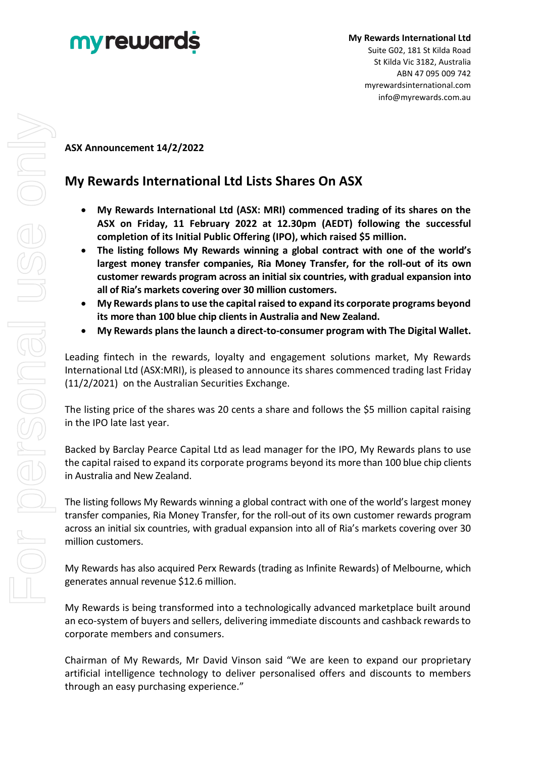

## **ASX Announcement 14/2/2022**

## **My Rewards International Ltd Lists Shares On ASX**

- **My Rewards International Ltd (ASX: MRI) commenced trading of its shares on the ASX on Friday, 11 February 2022 at 12.30pm (AEDT) following the successful completion of its Initial Public Offering (IPO), which raised \$5 million.**
- **The listing follows My Rewards winning a global contract with one of the world's largest money transfer companies, Ria Money Transfer, for the roll-out of its own customer rewards program across an initial six countries, with gradual expansion into all of Ria's markets covering over 30 million customers.**
- **My Rewards plans to use the capital raised to expand its corporate programs beyond its more than 100 blue chip clients in Australia and New Zealand.**
- **My Rewards plans the launch a direct-to-consumer program with The Digital Wallet.**

Leading fintech in the rewards, loyalty and engagement solutions market, My Rewards International Ltd (ASX:MRI), is pleased to announce its shares commenced trading last Friday (11/2/2021) on the Australian Securities Exchange.

The listing price of the shares was 20 cents a share and follows the \$5 million capital raising in the IPO late last year.

Backed by Barclay Pearce Capital Ltd as lead manager for the IPO, My Rewards plans to use the capital raised to expand its corporate programs beyond its more than 100 blue chip clients in Australia and New Zealand.

The listing follows My Rewards winning a global contract with one of the world's largest money transfer companies, Ria Money Transfer, for the roll-out of its own customer rewards program across an initial six countries, with gradual expansion into all of Ria's markets covering over 30 million customers.

My Rewards has also acquired Perx Rewards (trading as Infinite Rewards) of Melbourne, which generates annual revenue \$12.6 million.

My Rewards is being transformed into a technologically advanced marketplace built around an eco-system of buyers and sellers, delivering immediate discounts and cashback rewards to corporate members and consumers.

Chairman of My Rewards, Mr David Vinson said "We are keen to expand our proprietary artificial intelligence technology to deliver personalised offers and discounts to members through an easy purchasing experience."